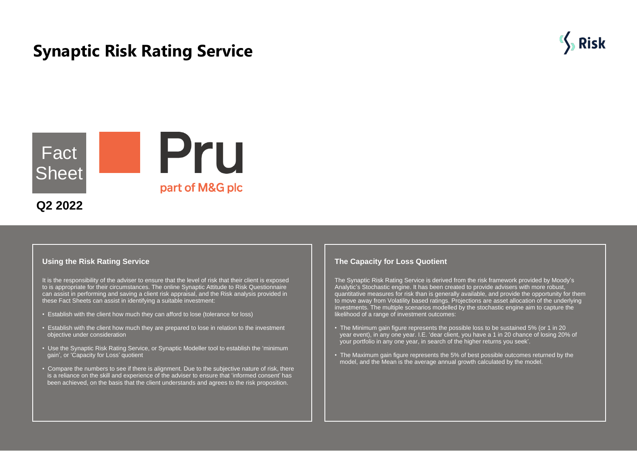# **Synaptic Risk Rating Service**



# Pru Fact **Sheet** part of M&G plc **Q2 2022**

#### **Using the Risk Rating Service**

It is the responsibility of the adviser to ensure that the level of risk that their client is exposed to is appropriate for their circumstances. The online Synaptic Attitude to Risk Questionnaire can assist in performing and saving a client risk appraisal, and the Risk analysis provided in these Fact Sheets can assist in identifying a suitable investment:

- Establish with the client how much they can afford to lose (tolerance for loss)
- Establish with the client how much they are prepared to lose in relation to the investment objective under consideration
- Use the Synaptic Risk Rating Service, or Synaptic Modeller tool to establish the 'minimum gain', or 'Capacity for Loss' quotient
- Compare the numbers to see if there is alignment. Due to the subjective nature of risk, there is a reliance on the skill and experience of the adviser to ensure that 'informed consent' has been achieved, on the basis that the client understands and agrees to the risk proposition.

## **The Capacity for Loss Quotient**

The Synaptic Risk Rating Service is derived from the risk framework provided by Moody's Analytic's Stochastic engine. It has been created to provide advisers with more robust, quantitative measures for risk than is generally available, and provide the opportunity for them to move away from Volatility based ratings. Projections are asset allocation of the underlying investments. The multiple scenarios modelled by the stochastic engine aim to capture the likelihood of a range of investment outcomes:

- The Minimum gain figure represents the possible loss to be sustained 5% (or 1 in 20 year event), in any one year. I.E. 'dear client, you have a 1 in 20 chance of losing 20% of your portfolio in any one year, in search of the higher returns you seek'.
- The Maximum gain figure represents the 5% of best possible outcomes returned by the model, and the Mean is the average annual growth calculated by the model.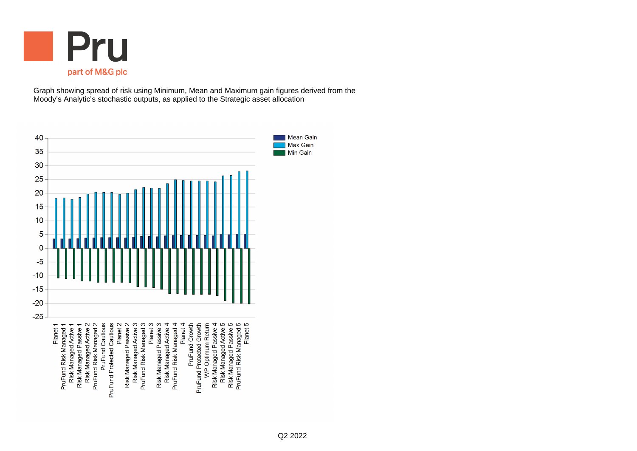

Graph showing spread of risk using Minimum, Mean and Maximum gain figures derived from the Moody's Analytic's stochastic outputs, as applied to the Strategic asset allocation

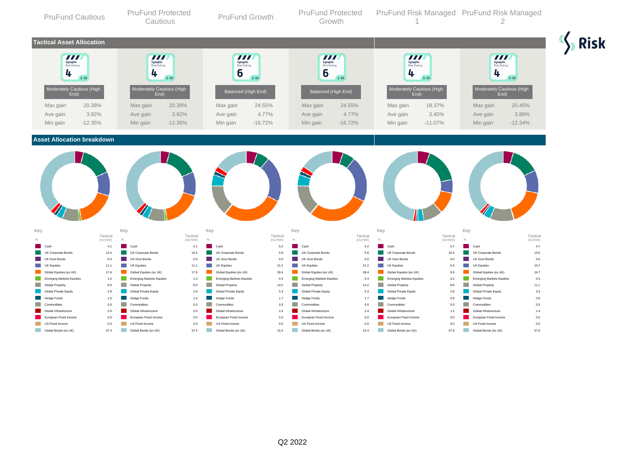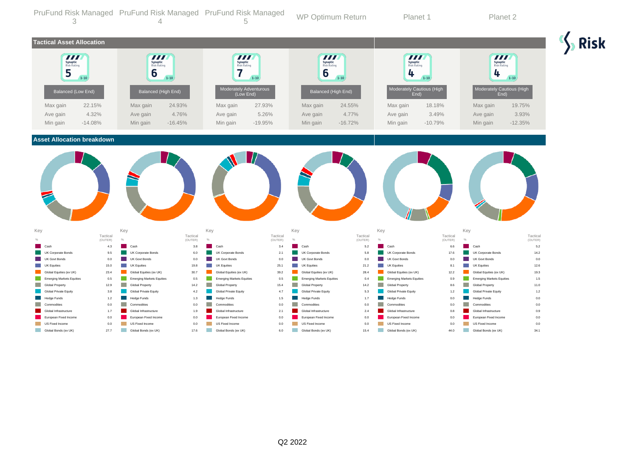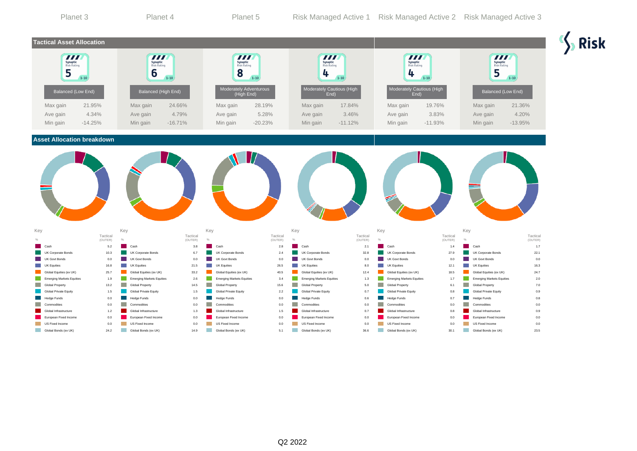| Planet 3                                                                                      |                                | Planet 4                                                          |                                                                                                                               | Planet 5                                                                 |                              |                                                                   |                              | Risk Managed Active 1 Risk Managed Active 2 Risk Managed Active 3 |                                |                                                                   |                              |
|-----------------------------------------------------------------------------------------------|--------------------------------|-------------------------------------------------------------------|-------------------------------------------------------------------------------------------------------------------------------|--------------------------------------------------------------------------|------------------------------|-------------------------------------------------------------------|------------------------------|-------------------------------------------------------------------|--------------------------------|-------------------------------------------------------------------|------------------------------|
| <b>Tactical Asset Allocation</b>                                                              |                                |                                                                   |                                                                                                                               |                                                                          |                              |                                                                   |                              |                                                                   |                                |                                                                   |                              |
| 777<br>Synaptic<br>Risk Rating<br>5<br>$1 - 10$                                               |                                | $\overline{II}$<br>Synaptic<br>Risk Rating<br>6<br>$1 - 10$       |                                                                                                                               | 777<br>Synaptic<br>Risk Rating<br>8<br>$1 - 10$                          |                              | $\bm{H}$<br>Synaptic<br>Risk Rating<br>4<br>$1 - 10$              |                              | 777<br>Synaptic<br>Risk Rating<br>4<br>$1 - 10$                   |                                | <b>TITL</b><br>Synaptic<br>Risk Rating<br>5<br>$1 - 10$           |                              |
| Balanced (Low End)                                                                            |                                | Balanced (High End)                                               |                                                                                                                               | Moderately Adventurous<br>(High End)                                     |                              | Moderately Cautious (High<br>End)                                 |                              | Moderately Cautious (High<br>End)                                 |                                | Balanced (Low End)                                                |                              |
| Max gain<br>Ave gain<br>Min gain                                                              | 21.95%<br>4.34%<br>$-14.25%$   | Max gain<br>Ave gain<br>Min gain                                  | 24.66%<br>4.79%<br>$-16.71%$                                                                                                  | Max gain<br>Ave gain<br>Min gain                                         | 28.19%<br>5.28%<br>$-20.23%$ | Max gain<br>Ave gain<br>Min gain                                  | 17.84%<br>3.46%<br>$-11.12%$ | Max gain<br>Ave gain<br>Min gain                                  | 19.76%<br>3.83%<br>$-11.93%$   | Max gain<br>Ave gain<br>Min gain                                  | 21.36%<br>4.20%<br>$-13.95%$ |
| <b>Asset Allocation breakdown</b>                                                             |                                |                                                                   |                                                                                                                               |                                                                          |                              |                                                                   |                              |                                                                   |                                |                                                                   |                              |
| Key                                                                                           |                                | Key                                                               | Key                                                                                                                           |                                                                          |                              | Key                                                               |                              | Key                                                               |                                | Key                                                               |                              |
|                                                                                               | Tactical<br>(OUTER)            | $\frac{1}{2}$                                                     | Tactical<br>(OUTER)<br>$\%$                                                                                                   |                                                                          | Tactical<br>(OUTER)          | $\frac{1}{2}$                                                     | Tactical<br>(OUTER)          | $\%$                                                              | Tactical<br>(OUTER)            | $\frac{1}{2}$                                                     | Tactical<br>(OUTER)          |
| Cash<br>UK Corporate Bonds<br><b>UK Govt Bonds</b><br>m.<br><b>Tara</b><br><b>UK Equities</b> | $5.2\,$<br>10.3<br>0.0<br>16.8 | Cash<br>UK Corporate Bonds<br><b>UK Govt Bonds</b><br>UK Equities | 3.8<br>6.7<br>0.0<br>21.5                                                                                                     | Cash<br>UK Corporate Bonds<br><b>UK Govt Bonds</b><br><b>UK Equities</b> | 2.8<br>2.4<br>0.0<br>26.5    | Cash<br>UK Corporate Bonds<br><b>UK Govt Bonds</b><br>UK Equities | 2.1<br>32.8<br>0.0<br>8.0    | Cash<br>UK Corporate Bonds<br><b>UK Govt Bonds</b><br>UK Equities | 1.4<br>27.9<br>$0.0\,$<br>12.1 | Cash<br>UK Corporate Bonds<br><b>UK Govt Bonds</b><br>UK Equities | 1.7<br>22.1<br>0.0<br>16.3   |
| Global Equities (ex UK)                                                                       | 25.7                           | Global Equities (ex UK)                                           | 33.2                                                                                                                          | Global Equities (ex UK)                                                  | 40.5                         | Global Equities (ex UK)                                           | 12.4                         | Global Equities (ex UK)                                           | 18.5                           | Global Equities (ex UK)                                           | 24.7                         |
| <b>Emerging Markets Equities</b><br>Global Property                                           | 1.9<br>13.2                    | <b>Emerging Markets Equities</b><br><b>Global Property</b>        | 2.6<br>14.5                                                                                                                   | <b>Emerging Markets Equities</b><br><b>Global Property</b>               | 3.4<br>15.6                  | <b>Emerging Markets Equities</b><br><b>Global Property</b>        | 1.3<br>5.0                   | <b>Emerging Markets Equities</b><br><b>Global Property</b>        | 1.7<br>6.1                     | <b>Emerging Markets Equities</b><br><b>Global Property</b>        | 2.0<br>7.0                   |
| Global Private Equity                                                                         | 1.5                            | Global Private Equity                                             | 1.5                                                                                                                           | Global Private Equity                                                    | 2.2                          | Global Private Equity                                             | 0.7                          | Global Private Equity                                             | 0.8                            | Global Private Equity                                             | 0.9                          |
| <b>Hedge Funds</b>                                                                            | $0.0\,$                        | Hedge Funds                                                       | 0.0                                                                                                                           | <b>Hedge Funds</b>                                                       | 0.0                          | Hedge Funds                                                       | $0.6\,$                      | <b>Hedge Funds</b>                                                | 0.7                            | Hedge Funds                                                       | $0.8\,$                      |
| m.<br>Commodities                                                                             | 0.0                            | Commodities                                                       | 0.0                                                                                                                           | Commodities                                                              | 0.0                          | Commodities                                                       | 0.0                          | Commodities                                                       | 0.0                            | Commodities                                                       | 0.0                          |
| Global Infrastructure                                                                         | $1.2$                          | Global Infrastructure                                             | 1.3                                                                                                                           | Global Infrastructure                                                    | 1.5                          | Global Infrastructure                                             | 0.7                          | Global Infrastructure                                             | 0.8                            | Global Infrastructure                                             | 0.9                          |
| a a<br>European Fixed Income                                                                  | 0.0                            | European Fixed Income                                             | 0.0                                                                                                                           | European Fixed Income                                                    | 0.0                          | European Fixed Income                                             | 0.0                          | European Fixed Income                                             | 0.0                            | European Fixed Income                                             | 0.0                          |
| <b>Contract</b><br>US Fixed Income                                                            | 0.0                            | US Fixed Income                                                   | 0.0                                                                                                                           | US Fixed Income                                                          | 0.0                          | US Fixed Income                                                   | 0.0                          | US Fixed Income                                                   | 0.0                            | US Fixed Income                                                   | 0.0                          |
| <b>College</b><br>Global Bonds (ex UK)                                                        | 24.2                           | <b>Service Service</b><br>Global Bonds (ex UK)                    | <b>Contract Contract Contract Contract Contract Contract Contract Contract Contract Contract Contract Contract Co</b><br>14.9 | Global Bonds (ex UK)                                                     | 5.1                          | <b>In the State</b><br>Global Bonds (ex UK)                       | 36.6                         | Global Bonds (ex UK)                                              | 30.1                           | <b>Tall</b><br>Global Bonds (ex UK)                               | 23.5                         |

 $\frac{1}{2}$  Risk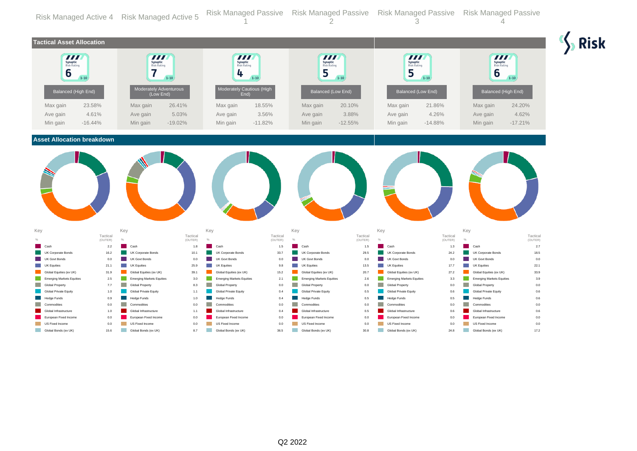|             |                                                   |             | Risk Managed Active 4 Risk Managed Active 5                                       |             | <b>Risk Managed Passive</b>                                             |                 | <b>Risk Managed Passive</b>                                        |                 | <b>Risk Managed Passive</b>                             |             | <b>Risk Managed Passive</b>                    |             |             |
|-------------|---------------------------------------------------|-------------|-----------------------------------------------------------------------------------|-------------|-------------------------------------------------------------------------|-----------------|--------------------------------------------------------------------|-----------------|---------------------------------------------------------|-------------|------------------------------------------------|-------------|-------------|
|             | <b>Tactical Asset Allocation</b>                  |             |                                                                                   |             |                                                                         |                 |                                                                    |                 |                                                         |             |                                                |             | <b>Risk</b> |
|             | <b>TIL</b><br><b>Synaptic</b><br>Risk Rating<br>6 | $1 - 10$    | $\boldsymbol{H}$<br><b>Synaptic</b><br>Risk Rating<br>7<br>Moderately Adventurous | $1 - 10$    | 777<br><b>Synaptic</b><br>Risk Rating<br>4<br>Moderately Cautious (High | $1 - 10$        | $\overline{\boldsymbol{H}}$<br><b>Synaptic</b><br>Risk Rating<br>5 | $1 - 10$        | $\boldsymbol{H}$<br><b>Synaptic</b><br>Risk Rating<br>5 | $1 - 10$    | 777<br><b>Synaptic</b><br>Risk Rating<br>6     | $1 - 10$    |             |
|             | Balanced (High End)                               |             | (Low End)                                                                         |             | End)                                                                    |                 | Balanced (Low End)                                                 |                 | Balanced (Low End)                                      |             | Balanced (High End)                            |             |             |
|             | Max gain                                          | 23.58%      | Max gain                                                                          | 26.41%      | Max gain                                                                | 18.55%          | Max gain                                                           | 20.10%          | Max gain                                                | 21.86%      | Max gain                                       | 24.20%      |             |
|             | Ave gain                                          | 4.61%       | Ave gain                                                                          | 5.03%       | Ave gain                                                                | 3.56%           | Ave gain                                                           | 3.88%           | Ave gain                                                | 4.26%       | Ave gain                                       | 4.62%       |             |
|             | Min gain                                          | $-16.44%$   | Min gain                                                                          | $-19.02%$   | Min gain                                                                | $-11.82%$       | Min gain                                                           | $-12.55%$       | Min gain                                                | $-14.88%$   | Min gain                                       | $-17.21%$   |             |
|             | <b>Asset Allocation breakdown</b>                 |             |                                                                                   |             |                                                                         |                 |                                                                    |                 |                                                         |             |                                                |             |             |
| Key         |                                                   | Tactical    | Key                                                                               | Tactical    | Key                                                                     | Tactical        | Key                                                                | Tactical        | Key                                                     | Tactical    | Key                                            | Tactical    |             |
|             |                                                   | (OUTER)     | $\%$                                                                              | (OUTER)     | $\%$                                                                    | (OUTER)         |                                                                    | (OUTER)         | $\%$                                                    | (OUTER)     | %                                              | (OUTER)     |             |
|             | Cast<br>UK Corporate Bonds                        | 2.2<br>16.2 | Cash<br>UK Corporate Bonds                                                        | 1.8<br>10.1 | Cash<br>UK Corporate Bonds                                              | $1.5\,$<br>33.7 | Cash<br>UK Corporate Bonds                                         | $1.5\,$<br>29.5 | Cash<br>UK Corporate Bonds                              | 1.3<br>24.2 | Cash<br>UK Corporate Bonds                     | 2.7<br>18.5 |             |
|             | <b>UK Govt Bonds</b>                              | 0.0         | <b>UK Govt Bonds</b>                                                              | 0.0         | <b>UK Govt Bonds</b>                                                    | 0.0             | <b>UK Govt Bonds</b>                                               | 0.0             | <b>UK Govt Bonds</b>                                    | 0.0         | <b>UK Govt Bonds</b>                           | 0.0         |             |
|             | UK Equities                                       | 21.1        | a a T<br><b>UK Equities</b>                                                       | 25.9        | <b>UK Equities</b>                                                      | 9.8             | <b>UK Equities</b>                                                 | 13.5            | <b>UK Equities</b>                                      | 17.7        | <b>UK Equities</b>                             | 22.1        |             |
|             | Global Equities (ex UK)                           | 31.9        | Global Equities (ex UK)                                                           | 39.1        | Global Equities (ex UK)                                                 | 15.2            | Global Equities (ex UK)                                            | 20.7            | Global Equities (ex UK)                                 | 27.2        | Global Equities (ex UK)                        | 33.9        |             |
|             | <b>Emerging Markets Equities</b>                  | 2.5         | <b>Emerging Markets Equities</b>                                                  | 3.0         | <b>Emerging Markets Equities</b>                                        | 2.1             | <b>Emerging Markets Equities</b>                                   | 2.6             | <b>Emerging Markets Equities</b>                        | 3.3         | <b>Emerging Markets Equities</b>               | 3.9         |             |
|             | <b>Global Property</b>                            | 7.7         | a a s<br><b>Global Property</b>                                                   | 8.3         | m.<br>Global Property                                                   | 0.0             | Global Property                                                    | 0.0             | <b>Global Property</b><br><b>College</b>                | 0.0         | <b>Global Property</b>                         | 0.0         |             |
|             | Global Private Equity                             | 1.0         | Global Private Equity                                                             | 1.1         | Global Private Equity                                                   | 0.4             | Global Private Equity                                              | 0.5             | Global Private Equity                                   | 0.6         | Global Private Equity                          | 0.6         |             |
|             | Hedge Funds                                       | 0.9         | Hedge Funds                                                                       | 1.0         | <b>Hedge Funds</b>                                                      | 0.4             | Hedge Funds                                                        | 0.5             | <b>Hedge Funds</b>                                      | 0.5         | Hedge Funds                                    | 0.6         |             |
|             | Commodities                                       | 0.0         | Commodities                                                                       | 0.0         | Commodities                                                             | 0.0             | Commodities                                                        | 0.0             | Commodities                                             | 0.0         | Commodities                                    | 0.0         |             |
|             | Global Infrastructure                             | 1.0         | Global Infrastructure                                                             | 1.1         | Global Infrastructure                                                   | 0.4             | Global Infrastructure                                              | 0.5             | Global Infrastructure                                   | 0.6         | Global Infrastructure                          | 0.6         |             |
| a a         | European Fixed Income<br>US Fixed Income          | 0.0<br>0.0  | European Fixed Income<br>a a<br>US Fixed Income                                   | 0.0<br>0.0  | European Fixed Income<br>a si<br>US Fixed Income                        | 0.0<br>0.0      | European Fixed Income<br>US Fixed Income                           | 0.0<br>0.0      | European Fixed Income<br>US Fixed Income                | 0.0<br>0.0  | European Fixed Income<br>US Fixed Income       | 0.0<br>0.0  |             |
| <b>Tall</b> | Global Bonds (ex UK)                              | 15.6        | T.<br>Global Bonds (ex UK)                                                        | 8.7         | <b>Tale</b><br>Global Bonds (ex UK)                                     | 36.5            | Global Bonds (ex UK)                                               | 30.8            | <b>College</b><br>Global Bonds (ex UK)                  | 24.8        | <b>Service Service</b><br>Global Bonds (ex UK) | 17.2        |             |
|             |                                                   |             |                                                                                   |             |                                                                         |                 |                                                                    |                 |                                                         |             |                                                |             |             |